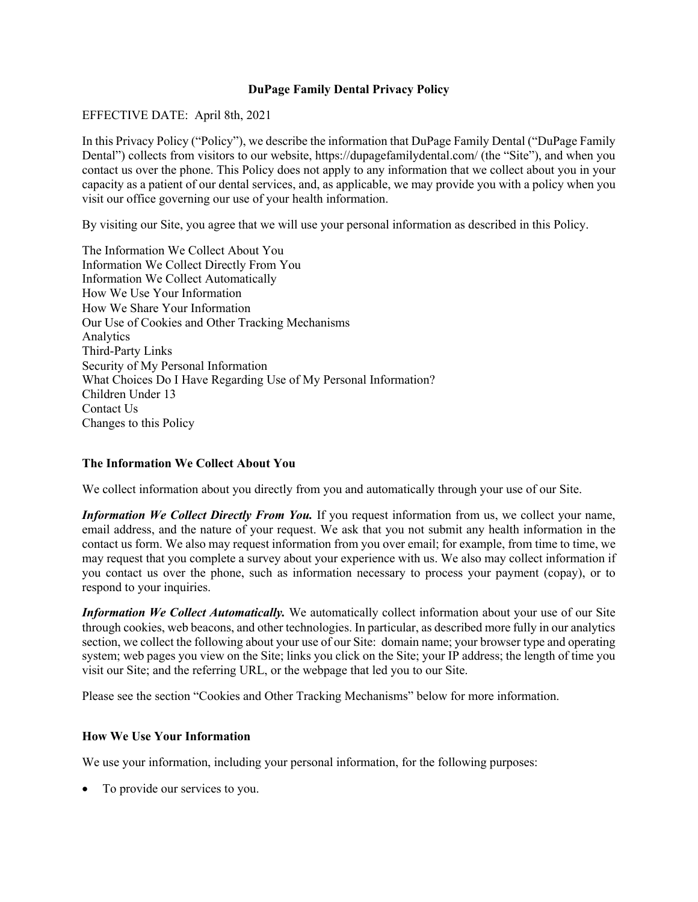### **DuPage Family Dental Privacy Policy**

### EFFECTIVE DATE: April 8th, 2021

In this Privacy Policy ("Policy"), we describe the information that DuPage Family Dental ("DuPage Family Dental") collects from visitors to our website, https://dupagefamilydental.com/ (the "Site"), and when you contact us over the phone. This Policy does not apply to any information that we collect about you in your capacity as a patient of our dental services, and, as applicable, we may provide you with a policy when you visit our office governing our use of your health information.

By visiting our Site, you agree that we will use your personal information as described in this Policy.

The Information We Collect About You Information We Collect Directly From You Information We Collect Automatically How We Use Your Information How We Share Your Information Our Use of Cookies and Other Tracking Mechanisms Analytics Third-Party Links Security of My Personal Information What Choices Do I Have Regarding Use of My Personal Information? Children Under 13 Contact Us Changes to this Policy

# **The Information We Collect About You**

We collect information about you directly from you and automatically through your use of our Site.

*Information We Collect Directly From You.* If you request information from us, we collect your name, email address, and the nature of your request. We ask that you not submit any health information in the contact us form. We also may request information from you over email; for example, from time to time, we may request that you complete a survey about your experience with us. We also may collect information if you contact us over the phone, such as information necessary to process your payment (copay), or to respond to your inquiries.

*Information We Collect Automatically.* We automatically collect information about your use of our Site through cookies, web beacons, and other technologies. In particular, as described more fully in our analytics section, we collect the following about your use of our Site: domain name; your browser type and operating system; web pages you view on the Site; links you click on the Site; your IP address; the length of time you visit our Site; and the referring URL, or the webpage that led you to our Site.

Please see the section "Cookies and Other Tracking Mechanisms" below for more information.

# **How We Use Your Information**

We use your information, including your personal information, for the following purposes:

• To provide our services to you.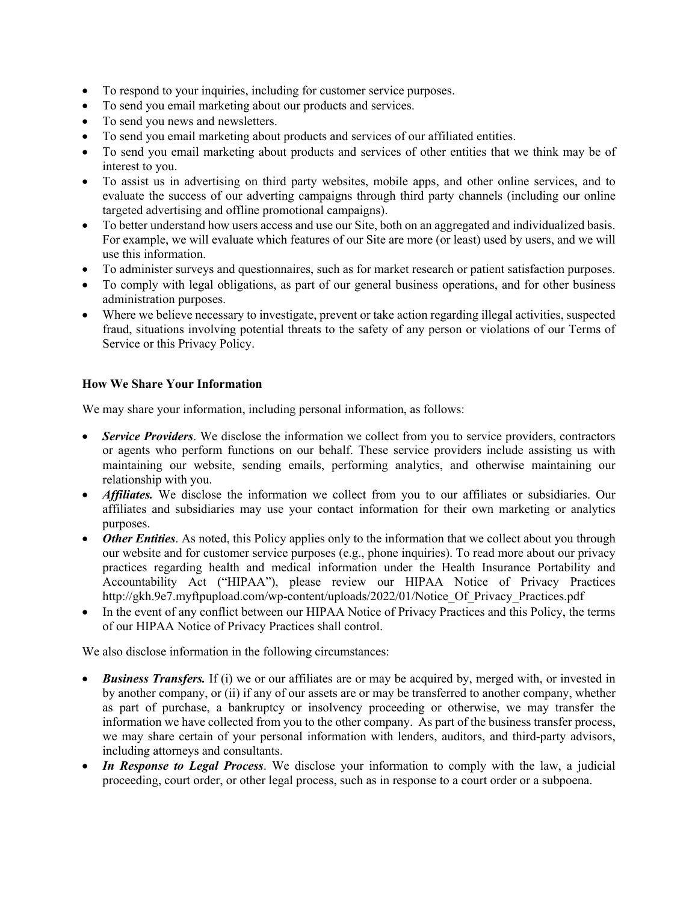- To respond to your inquiries, including for customer service purposes.
- To send you email marketing about our products and services.
- To send you news and newsletters.
- To send you email marketing about products and services of our affiliated entities.
- To send you email marketing about products and services of other entities that we think may be of interest to you.
- To assist us in advertising on third party websites, mobile apps, and other online services, and to evaluate the success of our adverting campaigns through third party channels (including our online targeted advertising and offline promotional campaigns).
- To better understand how users access and use our Site, both on an aggregated and individualized basis. For example, we will evaluate which features of our Site are more (or least) used by users, and we will use this information.
- To administer surveys and questionnaires, such as for market research or patient satisfaction purposes.
- To comply with legal obligations, as part of our general business operations, and for other business administration purposes.
- Where we believe necessary to investigate, prevent or take action regarding illegal activities, suspected fraud, situations involving potential threats to the safety of any person or violations of our Terms of Service or this Privacy Policy.

# **How We Share Your Information**

We may share your information, including personal information, as follows:

- *Service Providers*. We disclose the information we collect from you to service providers, contractors or agents who perform functions on our behalf. These service providers include assisting us with maintaining our website, sending emails, performing analytics, and otherwise maintaining our relationship with you.
- *Affiliates.* We disclose the information we collect from you to our affiliates or subsidiaries. Our affiliates and subsidiaries may use your contact information for their own marketing or analytics purposes.
- *Other Entities*. As noted, this Policy applies only to the information that we collect about you through our website and for customer service purposes (e.g., phone inquiries). To read more about our privacy practices regarding health and medical information under the Health Insurance Portability and Accountability Act ("HIPAA"), please review our HIPAA Notice of Privacy Practices http://gkh.9e7.myftpupload.com/wp-content/uploads/2022/01/Notice\_Of\_Privacy\_Practices.pdf
- In the event of any conflict between our HIPAA Notice of Privacy Practices and this Policy, the terms of our HIPAA Notice of Privacy Practices shall control.

We also disclose information in the following circumstances:

- *Business Transfers.* If (i) we or our affiliates are or may be acquired by, merged with, or invested in by another company, or (ii) if any of our assets are or may be transferred to another company, whether as part of purchase, a bankruptcy or insolvency proceeding or otherwise, we may transfer the information we have collected from you to the other company. As part of the business transfer process, we may share certain of your personal information with lenders, auditors, and third-party advisors, including attorneys and consultants.
- *In Response to Legal Process*. We disclose your information to comply with the law, a judicial proceeding, court order, or other legal process, such as in response to a court order or a subpoena.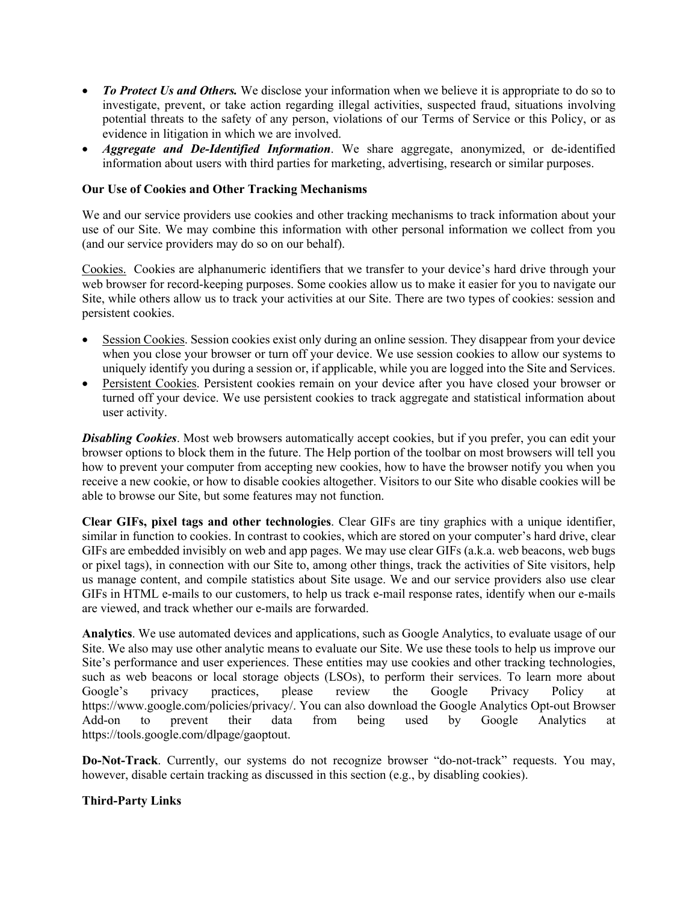- *To Protect Us and Others.* We disclose your information when we believe it is appropriate to do so to investigate, prevent, or take action regarding illegal activities, suspected fraud, situations involving potential threats to the safety of any person, violations of our Terms of Service or this Policy, or as evidence in litigation in which we are involved.
- *Aggregate and De-Identified Information*. We share aggregate, anonymized, or de-identified information about users with third parties for marketing, advertising, research or similar purposes.

### **Our Use of Cookies and Other Tracking Mechanisms**

We and our service providers use cookies and other tracking mechanisms to track information about your use of our Site. We may combine this information with other personal information we collect from you (and our service providers may do so on our behalf).

Cookies. Cookies are alphanumeric identifiers that we transfer to your device's hard drive through your web browser for record-keeping purposes. Some cookies allow us to make it easier for you to navigate our Site, while others allow us to track your activities at our Site. There are two types of cookies: session and persistent cookies.

- Session Cookies. Session cookies exist only during an online session. They disappear from your device when you close your browser or turn off your device. We use session cookies to allow our systems to uniquely identify you during a session or, if applicable, while you are logged into the Site and Services.
- Persistent Cookies. Persistent cookies remain on your device after you have closed your browser or turned off your device. We use persistent cookies to track aggregate and statistical information about user activity.

*Disabling Cookies*. Most web browsers automatically accept cookies, but if you prefer, you can edit your browser options to block them in the future. The Help portion of the toolbar on most browsers will tell you how to prevent your computer from accepting new cookies, how to have the browser notify you when you receive a new cookie, or how to disable cookies altogether. Visitors to our Site who disable cookies will be able to browse our Site, but some features may not function.

**Clear GIFs, pixel tags and other technologies**. Clear GIFs are tiny graphics with a unique identifier, similar in function to cookies. In contrast to cookies, which are stored on your computer's hard drive, clear GIFs are embedded invisibly on web and app pages. We may use clear GIFs (a.k.a. web beacons, web bugs or pixel tags), in connection with our Site to, among other things, track the activities of Site visitors, help us manage content, and compile statistics about Site usage. We and our service providers also use clear GIFs in HTML e-mails to our customers, to help us track e-mail response rates, identify when our e-mails are viewed, and track whether our e-mails are forwarded.

**Analytics**. We use automated devices and applications, such as Google Analytics, to evaluate usage of our Site. We also may use other analytic means to evaluate our Site. We use these tools to help us improve our Site's performance and user experiences. These entities may use cookies and other tracking technologies, such as web beacons or local storage objects (LSOs), to perform their services. To learn more about Google's privacy practices, please review the Google Privacy Policy at https://www.google.com/policies/privacy/. You can also download the Google Analytics Opt-out Browser Add-on to prevent their data from being used by Google Analytics at https://tools.google.com/dlpage/gaoptout.

**Do-Not-Track**. Currently, our systems do not recognize browser "do-not-track" requests. You may, however, disable certain tracking as discussed in this section (e.g., by disabling cookies).

#### **Third-Party Links**